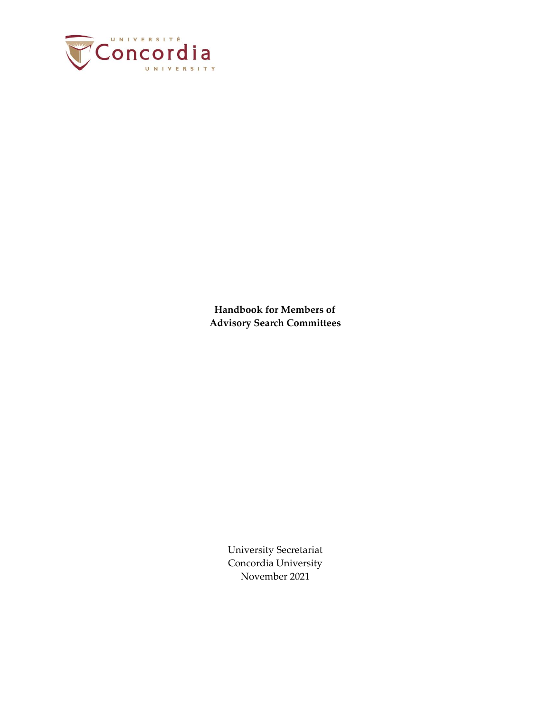

**Handbook for Members of Advisory Search Committees** 

> University Secretariat Concordia University November 2021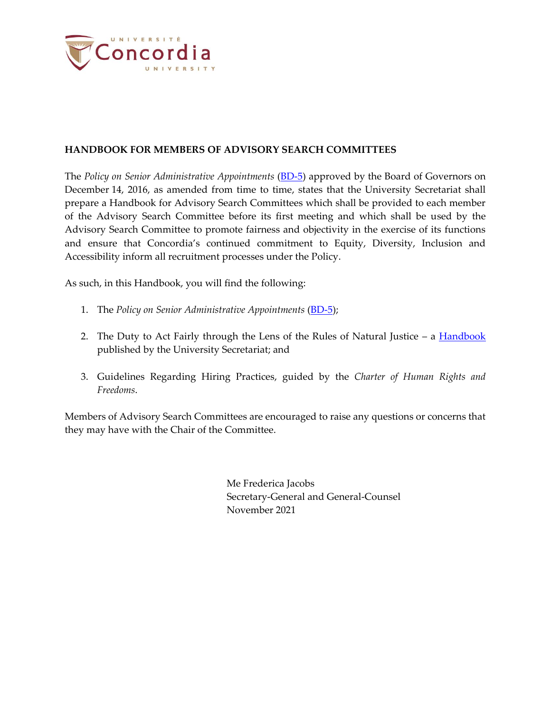

#### **HANDBOOK FOR MEMBERS OF ADVISORY SEARCH COMMITTEES**

The *Policy on Senior Administrative Appointments* [\(BD-5\)](http://www.concordia.ca/content/dam/common/docs/policies/official-policies/BD-5.pdf) approved by the Board of Governors on December 14, 2016, as amended from time to time, states that the University Secretariat shall prepare a Handbook for Advisory Search Committees which shall be provided to each member of the Advisory Search Committee before its first meeting and which shall be used by the Advisory Search Committee to promote fairness and objectivity in the exercise of its functions and ensure that Concordia's continued commitment to Equity, Diversity, Inclusion and Accessibility inform all recruitment processes under the Policy.

As such, in this Handbook, you will find the following:

- 1. The *Policy on Senior Administrative Appointments* [\(BD-5\)](http://www.concordia.ca/content/dam/common/docs/policies/official-policies/BD-5.pdf);
- 2. The Duty to Act Fairly through the Lens of the Rules of Natural Justice a [Handbook](https://www.concordia.ca/content/dam/common/docs/policies/official-policies/2011_Natural_Justice.pdf) published by the University Secretariat; and
- 3. Guidelines Regarding Hiring Practices, guided by the *Charter of Human Rights and Freedoms*.

Members of Advisory Search Committees are encouraged to raise any questions or concerns that they may have with the Chair of the Committee.

> Me Frederica Jacobs Secretary-General and General-Counsel November 2021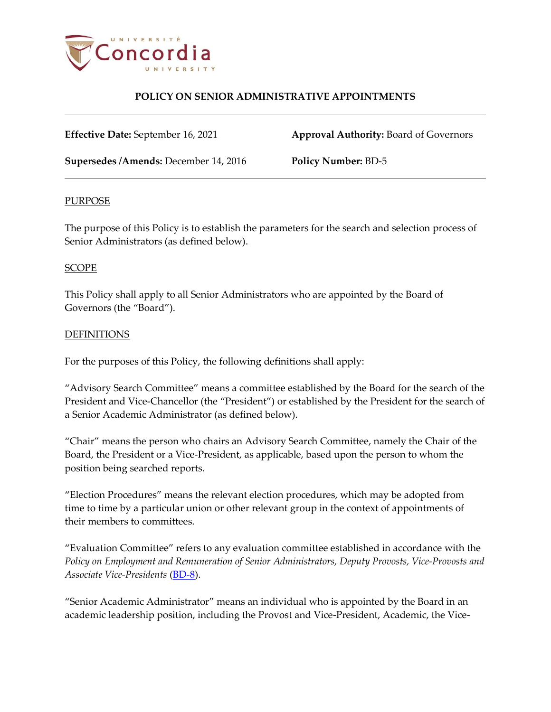

**Effective Date:** September 16, 2021 **Approval Authority:** Board of Governors

**Supersedes /Amends:** December 14, 2016 **Policy Number:** BD-5

### PURPOSE

The purpose of this Policy is to establish the parameters for the search and selection process of Senior Administrators (as defined below).

### SCOPE

This Policy shall apply to all Senior Administrators who are appointed by the Board of Governors (the "Board").

### **DEFINITIONS**

For the purposes of this Policy, the following definitions shall apply:

"Advisory Search Committee" means a committee established by the Board for the search of the President and Vice-Chancellor (the "President") or established by the President for the search of a Senior Academic Administrator (as defined below).

"Chair" means the person who chairs an Advisory Search Committee, namely the Chair of the Board, the President or a Vice-President, as applicable, based upon the person to whom the position being searched reports.

"Election Procedures" means the relevant election procedures, which may be adopted from time to time by a particular union or other relevant group in the context of appointments of their members to committees.

"Evaluation Committee" refers to any evaluation committee established in accordance with the *Policy on Employment and Remuneration of Senior Administrators, Deputy Provosts, Vice-Provosts and Associate Vice-Presidents* [\(BD-8\)](https://www.concordia.ca/content/dam/common/docs/policies/official-policies/BD-8.pdf).

"Senior Academic Administrator" means an individual who is appointed by the Board in an academic leadership position, including the Provost and Vice-President, Academic, the Vice-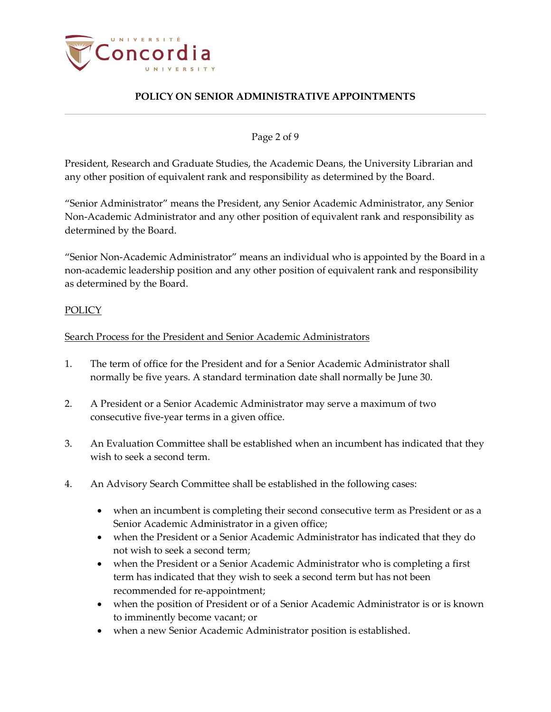

Page 2 of 9

President, Research and Graduate Studies, the Academic Deans, the University Librarian and any other position of equivalent rank and responsibility as determined by the Board.

"Senior Administrator" means the President, any Senior Academic Administrator, any Senior Non-Academic Administrator and any other position of equivalent rank and responsibility as determined by the Board.

"Senior Non-Academic Administrator" means an individual who is appointed by the Board in a non-academic leadership position and any other position of equivalent rank and responsibility as determined by the Board.

### **POLICY**

### Search Process for the President and Senior Academic Administrators

- 1. The term of office for the President and for a Senior Academic Administrator shall normally be five years. A standard termination date shall normally be June 30.
- 2. A President or a Senior Academic Administrator may serve a maximum of two consecutive five-year terms in a given office.
- 3. An Evaluation Committee shall be established when an incumbent has indicated that they wish to seek a second term.
- <span id="page-3-0"></span>4. An Advisory Search Committee shall be established in the following cases:
	- when an incumbent is completing their second consecutive term as President or as a Senior Academic Administrator in a given office;
	- when the President or a Senior Academic Administrator has indicated that they do not wish to seek a second term;
	- when the President or a Senior Academic Administrator who is completing a first term has indicated that they wish to seek a second term but has not been recommended for re-appointment;
	- when the position of President or of a Senior Academic Administrator is or is known to imminently become vacant; or
	- when a new Senior Academic Administrator position is established.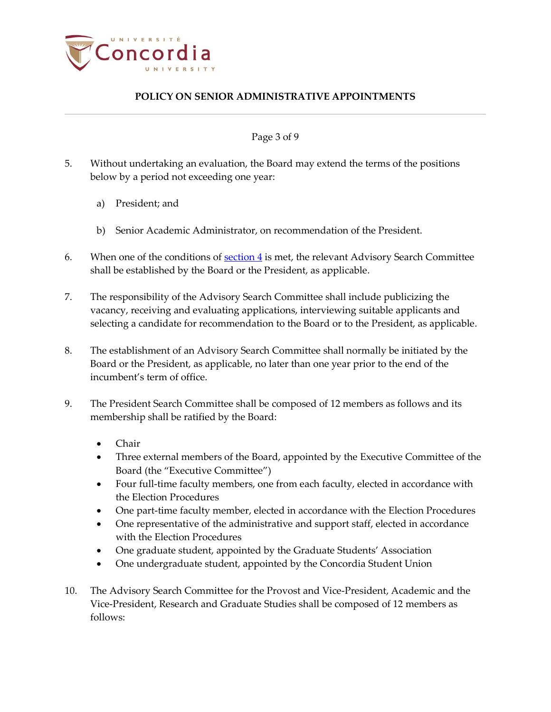

Page 3 of 9

- 5. Without undertaking an evaluation, the Board may extend the terms of the positions below by a period not exceeding one year:
	- a) President; and
	- b) Senior Academic Administrator, on recommendation of the President.
- 6. When one of the conditions of  $section 4$  is met, the relevant Advisory Search Committee shall be established by the Board or the President, as applicable.
- 7. The responsibility of the Advisory Search Committee shall include publicizing the vacancy, receiving and evaluating applications, interviewing suitable applicants and selecting a candidate for recommendation to the Board or to the President, as applicable.
- 8. The establishment of an Advisory Search Committee shall normally be initiated by the Board or the President, as applicable, no later than one year prior to the end of the incumbent's term of office.
- 9. The President Search Committee shall be composed of 12 members as follows and its membership shall be ratified by the Board:
	- Chair
	- Three external members of the Board, appointed by the Executive Committee of the Board (the "Executive Committee")
	- Four full-time faculty members, one from each faculty, elected in accordance with the Election Procedures
	- One part-time faculty member, elected in accordance with the Election Procedures
	- One representative of the administrative and support staff, elected in accordance with the Election Procedures
	- One graduate student, appointed by the Graduate Students' Association
	- One undergraduate student, appointed by the Concordia Student Union
- 10. The Advisory Search Committee for the Provost and Vice-President, Academic and the Vice-President, Research and Graduate Studies shall be composed of 12 members as follows: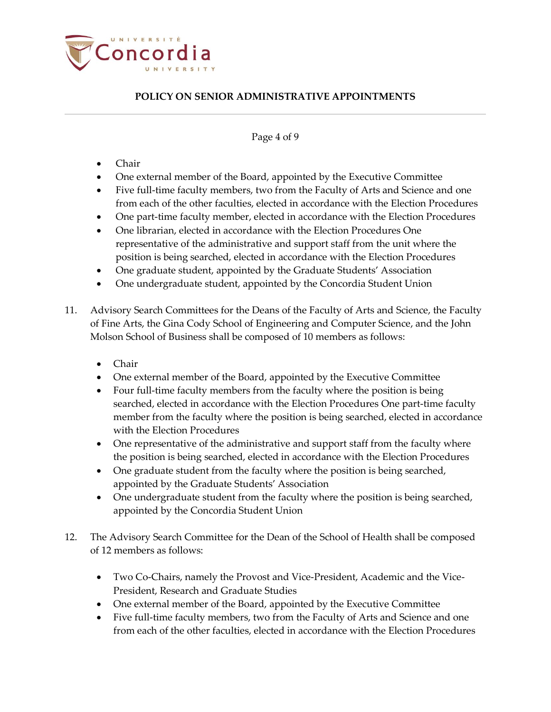

#### Page 4 of 9

- Chair
- One external member of the Board, appointed by the Executive Committee
- Five full-time faculty members, two from the Faculty of Arts and Science and one from each of the other faculties, elected in accordance with the Election Procedures
- One part-time faculty member, elected in accordance with the Election Procedures
- One librarian, elected in accordance with the Election Procedures One representative of the administrative and support staff from the unit where the position is being searched, elected in accordance with the Election Procedures
- One graduate student, appointed by the Graduate Students' Association
- One undergraduate student, appointed by the Concordia Student Union
- 11. Advisory Search Committees for the Deans of the Faculty of Arts and Science, the Faculty of Fine Arts, the Gina Cody School of Engineering and Computer Science, and the John Molson School of Business shall be composed of 10 members as follows:
	- Chair
	- One external member of the Board, appointed by the Executive Committee
	- Four full-time faculty members from the faculty where the position is being searched, elected in accordance with the Election Procedures One part-time faculty member from the faculty where the position is being searched, elected in accordance with the Election Procedures
	- One representative of the administrative and support staff from the faculty where the position is being searched, elected in accordance with the Election Procedures
	- One graduate student from the faculty where the position is being searched, appointed by the Graduate Students' Association
	- One undergraduate student from the faculty where the position is being searched, appointed by the Concordia Student Union
- 12. The Advisory Search Committee for the Dean of the School of Health shall be composed of 12 members as follows:
	- Two Co-Chairs, namely the Provost and Vice-President, Academic and the Vice-President, Research and Graduate Studies
	- One external member of the Board, appointed by the Executive Committee
	- Five full-time faculty members, two from the Faculty of Arts and Science and one from each of the other faculties, elected in accordance with the Election Procedures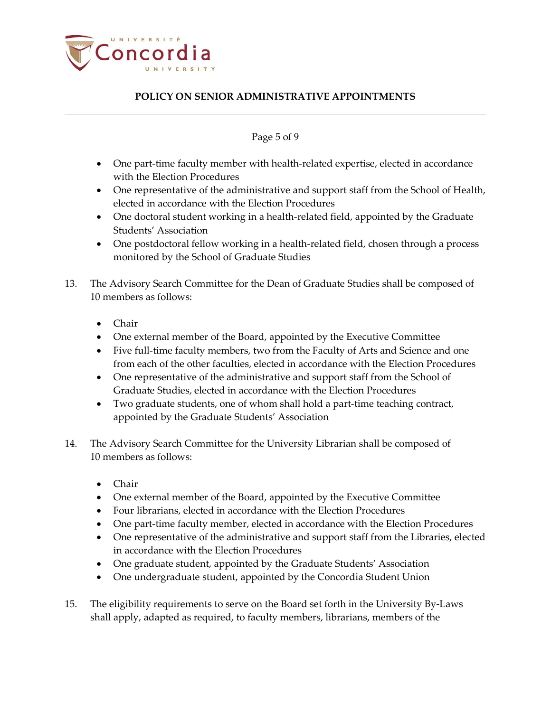

### Page 5 of 9

- One part-time faculty member with health-related expertise, elected in accordance with the Election Procedures
- One representative of the administrative and support staff from the School of Health, elected in accordance with the Election Procedures
- One doctoral student working in a health-related field, appointed by the Graduate Students' Association
- One postdoctoral fellow working in a health-related field, chosen through a process monitored by the School of Graduate Studies
- 13. The Advisory Search Committee for the Dean of Graduate Studies shall be composed of 10 members as follows:
	- Chair
	- One external member of the Board, appointed by the Executive Committee
	- Five full-time faculty members, two from the Faculty of Arts and Science and one from each of the other faculties, elected in accordance with the Election Procedures
	- One representative of the administrative and support staff from the School of Graduate Studies, elected in accordance with the Election Procedures
	- Two graduate students, one of whom shall hold a part-time teaching contract, appointed by the Graduate Students' Association
- 14. The Advisory Search Committee for the University Librarian shall be composed of 10 members as follows:
	- Chair
	- One external member of the Board, appointed by the Executive Committee
	- Four librarians, elected in accordance with the Election Procedures
	- One part-time faculty member, elected in accordance with the Election Procedures
	- One representative of the administrative and support staff from the Libraries, elected in accordance with the Election Procedures
	- One graduate student, appointed by the Graduate Students' Association
	- One undergraduate student, appointed by the Concordia Student Union
- 15. The eligibility requirements to serve on the Board set forth in the University By-Laws shall apply, adapted as required, to faculty members, librarians, members of the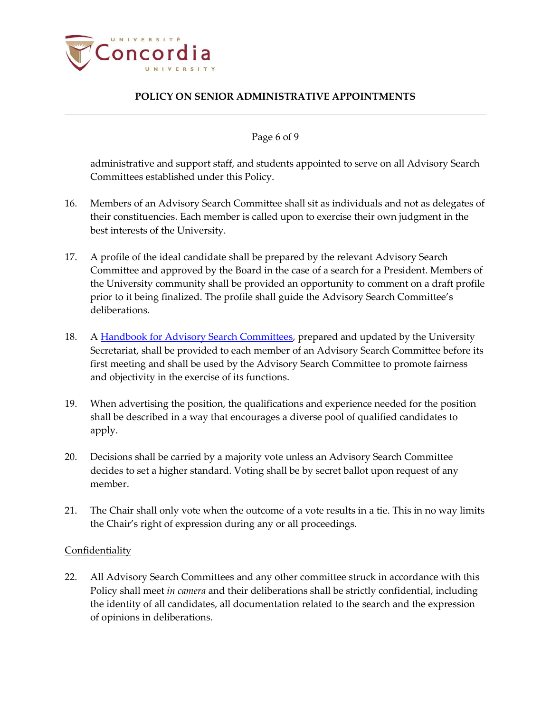

Page 6 of 9

administrative and support staff, and students appointed to serve on all Advisory Search Committees established under this Policy.

- 16. Members of an Advisory Search Committee shall sit as individuals and not as delegates of their constituencies. Each member is called upon to exercise their own judgment in the best interests of the University.
- 17. A profile of the ideal candidate shall be prepared by the relevant Advisory Search Committee and approved by the Board in the case of a search for a President. Members of the University community shall be provided an opportunity to comment on a draft profile prior to it being finalized. The profile shall guide the Advisory Search Committee's deliberations.
- 18. A Handbook [for Advisory Search Committees,](https://www.concordia.ca/content/dam/common/docs/policies/official-policies/Handbook_Advisory_Search_Committee.pdf) prepared and updated by the University Secretariat, shall be provided to each member of an Advisory Search Committee before its first meeting and shall be used by the Advisory Search Committee to promote fairness and objectivity in the exercise of its functions.
- 19. When advertising the position, the qualifications and experience needed for the position shall be described in a way that encourages a diverse pool of qualified candidates to apply.
- 20. Decisions shall be carried by a majority vote unless an Advisory Search Committee decides to set a higher standard. Voting shall be by secret ballot upon request of any member.
- 21. The Chair shall only vote when the outcome of a vote results in a tie. This in no way limits the Chair's right of expression during any or all proceedings.

### Confidentiality

22. All Advisory Search Committees and any other committee struck in accordance with this Policy shall meet *in camera* and their deliberations shall be strictly confidential, including the identity of all candidates, all documentation related to the search and the expression of opinions in deliberations.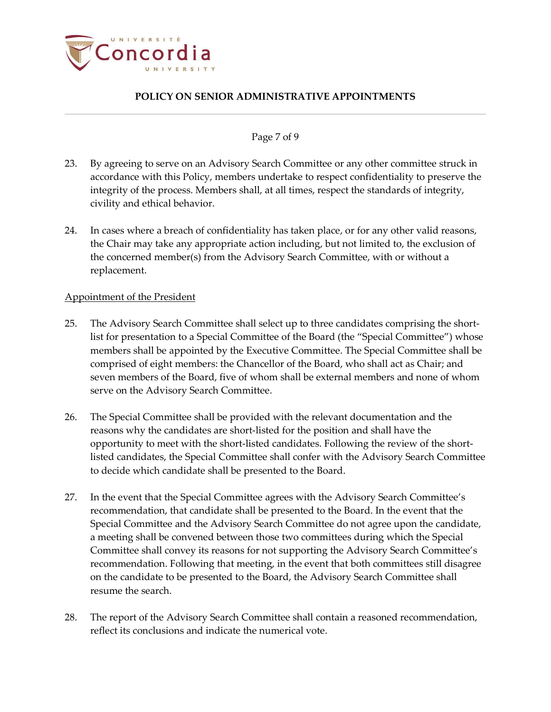

### Page 7 of 9

- 23. By agreeing to serve on an Advisory Search Committee or any other committee struck in accordance with this Policy, members undertake to respect confidentiality to preserve the integrity of the process. Members shall, at all times, respect the standards of integrity, civility and ethical behavior.
- 24. In cases where a breach of confidentiality has taken place, or for any other valid reasons, the Chair may take any appropriate action including, but not limited to, the exclusion of the concerned member(s) from the Advisory Search Committee, with or without a replacement.

#### Appointment of the President

- 25. The Advisory Search Committee shall select up to three candidates comprising the shortlist for presentation to a Special Committee of the Board (the "Special Committee") whose members shall be appointed by the Executive Committee. The Special Committee shall be comprised of eight members: the Chancellor of the Board, who shall act as Chair; and seven members of the Board, five of whom shall be external members and none of whom serve on the Advisory Search Committee.
- 26. The Special Committee shall be provided with the relevant documentation and the reasons why the candidates are short-listed for the position and shall have the opportunity to meet with the short-listed candidates. Following the review of the shortlisted candidates, the Special Committee shall confer with the Advisory Search Committee to decide which candidate shall be presented to the Board.
- 27. In the event that the Special Committee agrees with the Advisory Search Committee's recommendation, that candidate shall be presented to the Board. In the event that the Special Committee and the Advisory Search Committee do not agree upon the candidate, a meeting shall be convened between those two committees during which the Special Committee shall convey its reasons for not supporting the Advisory Search Committee's recommendation. Following that meeting, in the event that both committees still disagree on the candidate to be presented to the Board, the Advisory Search Committee shall resume the search.
- 28. The report of the Advisory Search Committee shall contain a reasoned recommendation, reflect its conclusions and indicate the numerical vote.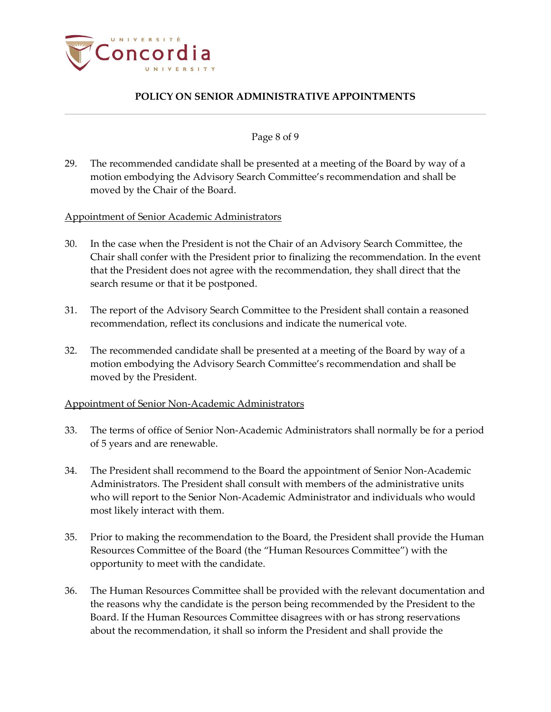

#### Page 8 of 9

29. The recommended candidate shall be presented at a meeting of the Board by way of a motion embodying the Advisory Search Committee's recommendation and shall be moved by the Chair of the Board.

Appointment of Senior Academic Administrators

- 30. In the case when the President is not the Chair of an Advisory Search Committee, the Chair shall confer with the President prior to finalizing the recommendation. In the event that the President does not agree with the recommendation, they shall direct that the search resume or that it be postponed.
- 31. The report of the Advisory Search Committee to the President shall contain a reasoned recommendation, reflect its conclusions and indicate the numerical vote.
- 32. The recommended candidate shall be presented at a meeting of the Board by way of a motion embodying the Advisory Search Committee's recommendation and shall be moved by the President.

#### Appointment of Senior Non-Academic Administrators

- 33. The terms of office of Senior Non-Academic Administrators shall normally be for a period of 5 years and are renewable.
- 34. The President shall recommend to the Board the appointment of Senior Non-Academic Administrators. The President shall consult with members of the administrative units who will report to the Senior Non-Academic Administrator and individuals who would most likely interact with them.
- 35. Prior to making the recommendation to the Board, the President shall provide the Human Resources Committee of the Board (the "Human Resources Committee") with the opportunity to meet with the candidate.
- 36. The Human Resources Committee shall be provided with the relevant documentation and the reasons why the candidate is the person being recommended by the President to the Board. If the Human Resources Committee disagrees with or has strong reservations about the recommendation, it shall so inform the President and shall provide the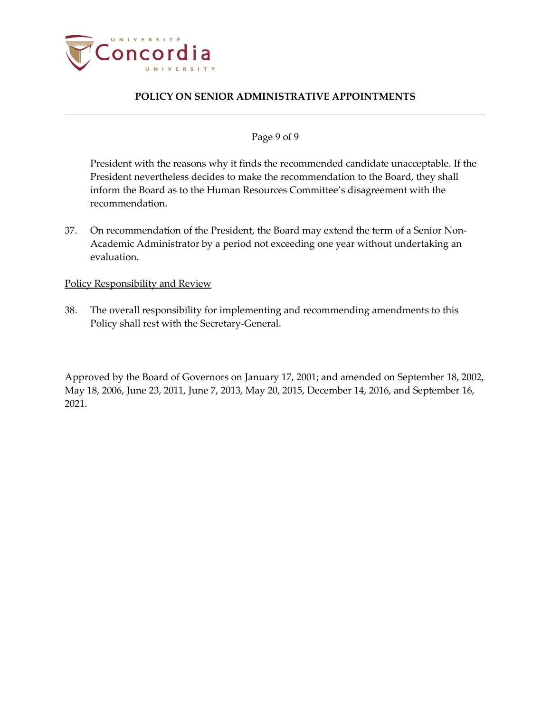

### Page 9 of 9

President with the reasons why it finds the recommended candidate unacceptable. If the President nevertheless decides to make the recommendation to the Board, they shall inform the Board as to the Human Resources Committee's disagreement with the recommendation.

37. On recommendation of the President, the Board may extend the term of a Senior Non-Academic Administrator by a period not exceeding one year without undertaking an evaluation.

#### Policy Responsibility and Review

38. The overall responsibility for implementing and recommending amendments to this Policy shall rest with the Secretary-General.

Approved by the Board of Governors on January 17, 2001; and amended on September 18, 2002, May 18, 2006, June 23, 2011, June 7, 2013, May 20, 2015, December 14, 2016, and September 16, 2021.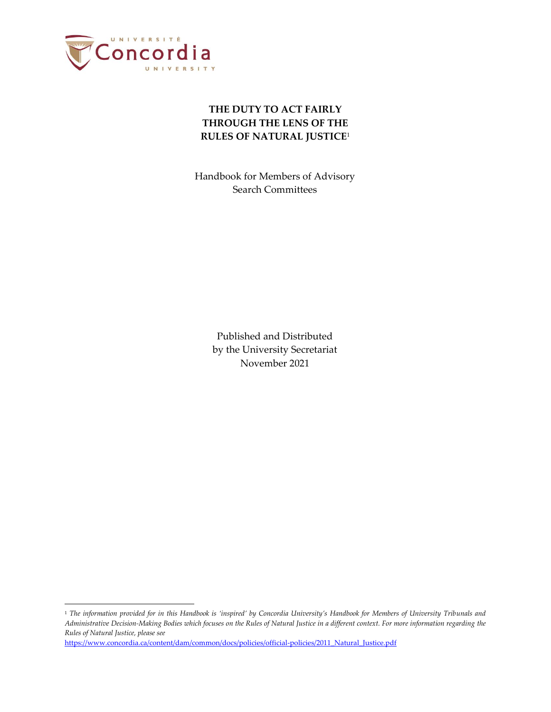

# **THE DUTY TO ACT FAIRLY THROUGH THE LENS OF THE RULES OF NATURAL JUSTICE**<sup>1</sup>

Handbook for Members of Advisory Search Committees

> Published and Distributed by the University Secretariat November 2021

[https://www.concordia.ca/content/dam/common/docs/policies/official-policies/2011\\_Natural\\_Justice.pdf](https://www.concordia.ca/content/dam/common/docs/policies/official-policies/2011_Natural_Justice.pdf)

<sup>1</sup> *The information provided for in this Handbook is 'inspired' by Concordia University's Handbook for Members of University Tribunals and Administrative Decision-Making Bodies which focuses on the Rules of Natural Justice in a different context. For more information regarding the Rules of Natural Justice, please see*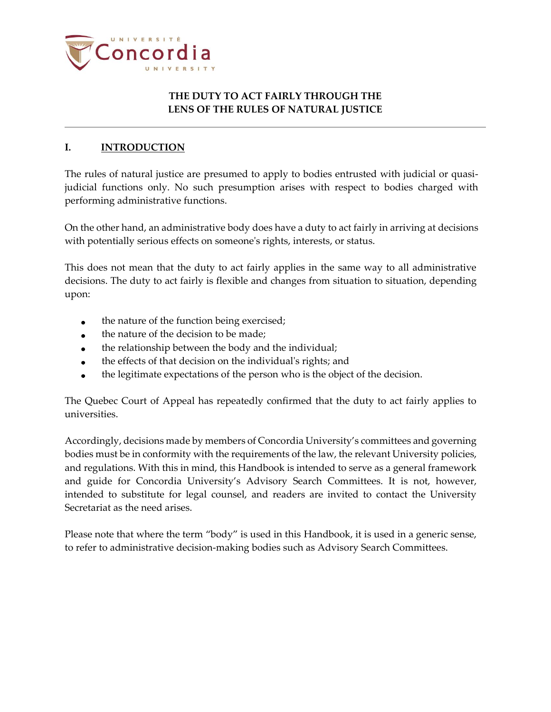

## **THE DUTY TO ACT FAIRLY THROUGH THE LENS OF THE RULES OF NATURAL JUSTICE**

### **I. INTRODUCTION**

The rules of natural justice are presumed to apply to bodies entrusted with judicial or quasijudicial functions only. No such presumption arises with respect to bodies charged with performing administrative functions.

On the other hand, an administrative body does have a duty to act fairly in arriving at decisions with potentially serious effects on someone's rights, interests, or status.

This does not mean that the duty to act fairly applies in the same way to all administrative decisions. The duty to act fairly is flexible and changes from situation to situation, depending upon:

- the nature of the function being exercised;
- the nature of the decision to be made;
- the relationship between the body and the individual;  $\bullet$
- the effects of that decision on the individual's rights; and  $\bullet$
- the legitimate expectations of the person who is the object of the decision.

The Quebec Court of Appeal has repeatedly confirmed that the duty to act fairly applies to universities.

Accordingly, decisions made by members of Concordia University's committees and governing bodies must be in conformity with the requirements of the law, the relevant University policies, and regulations. With this in mind, this Handbook is intended to serve as a general framework and guide for Concordia University's Advisory Search Committees. It is not, however, intended to substitute for legal counsel, and readers are invited to contact the University Secretariat as the need arises.

Please note that where the term "body" is used in this Handbook, it is used in a generic sense, to refer to administrative decision-making bodies such as Advisory Search Committees.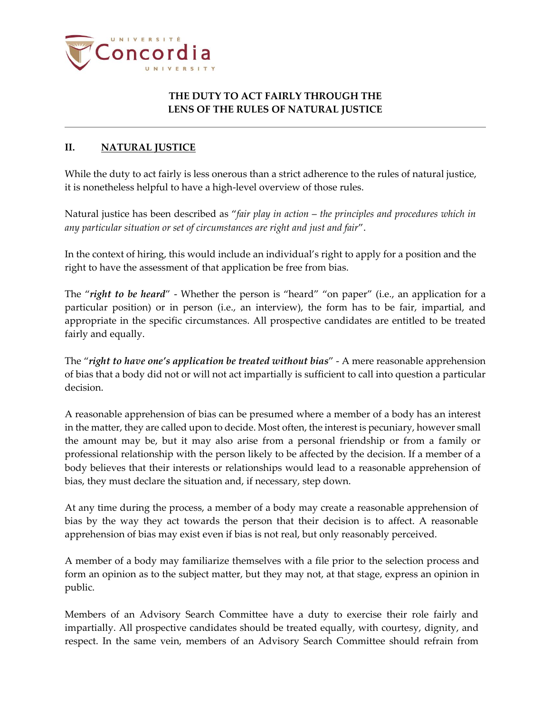

## **THE DUTY TO ACT FAIRLY THROUGH THE LENS OF THE RULES OF NATURAL JUSTICE**

### **II. NATURAL JUSTICE**

While the duty to act fairly is less onerous than a strict adherence to the rules of natural justice, it is nonetheless helpful to have a high-level overview of those rules.

Natural justice has been described as "*fair play in action* – *the principles and procedures which in any particular situation or set of circumstances are right and just and fair*".

In the context of hiring, this would include an individual's right to apply for a position and the right to have the assessment of that application be free from bias.

The "*right to be heard*" - Whether the person is "heard" "on paper" (i.e., an application for a particular position) or in person (i.e., an interview), the form has to be fair, impartial, and appropriate in the specific circumstances. All prospective candidates are entitled to be treated fairly and equally.

The "*right to have one's application be treated without bias*" - A mere reasonable apprehension of bias that a body did not or will not act impartially is sufficient to call into question a particular decision.

A reasonable apprehension of bias can be presumed where a member of a body has an interest in the matter, they are called upon to decide. Most often, the interest is pecuniary, however small the amount may be, but it may also arise from a personal friendship or from a family or professional relationship with the person likely to be affected by the decision. If a member of a body believes that their interests or relationships would lead to a reasonable apprehension of bias, they must declare the situation and, if necessary, step down.

At any time during the process, a member of a body may create a reasonable apprehension of bias by the way they act towards the person that their decision is to affect. A reasonable apprehension of bias may exist even if bias is not real, but only reasonably perceived.

A member of a body may familiarize themselves with a file prior to the selection process and form an opinion as to the subject matter, but they may not, at that stage, express an opinion in public.

Members of an Advisory Search Committee have a duty to exercise their role fairly and impartially. All prospective candidates should be treated equally, with courtesy, dignity, and respect. In the same vein, members of an Advisory Search Committee should refrain from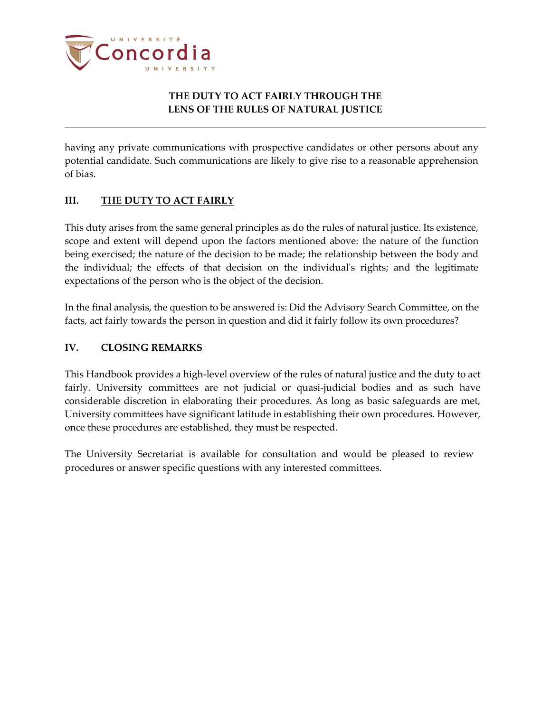

## **THE DUTY TO ACT FAIRLY THROUGH THE LENS OF THE RULES OF NATURAL JUSTICE**

having any private communications with prospective candidates or other persons about any potential candidate. Such communications are likely to give rise to a reasonable apprehension of bias.

### **III. THE DUTY TO ACT FAIRLY**

This duty arises from the same general principles as do the rules of natural justice. Its existence, scope and extent will depend upon the factors mentioned above: the nature of the function being exercised; the nature of the decision to be made; the relationship between the body and the individual; the effects of that decision on the individual's rights; and the legitimate expectations of the person who is the object of the decision.

In the final analysis, the question to be answered is: Did the Advisory Search Committee, on the facts, act fairly towards the person in question and did it fairly follow its own procedures?

### **IV. CLOSING REMARKS**

This Handbook provides a high-level overview of the rules of natural justice and the duty to act fairly. University committees are not judicial or quasi-judicial bodies and as such have considerable discretion in elaborating their procedures. As long as basic safeguards are met, University committees have significant latitude in establishing their own procedures. However, once these procedures are established, they must be respected.

The University Secretariat is available for consultation and would be pleased to review procedures or answer specific questions with any interested committees.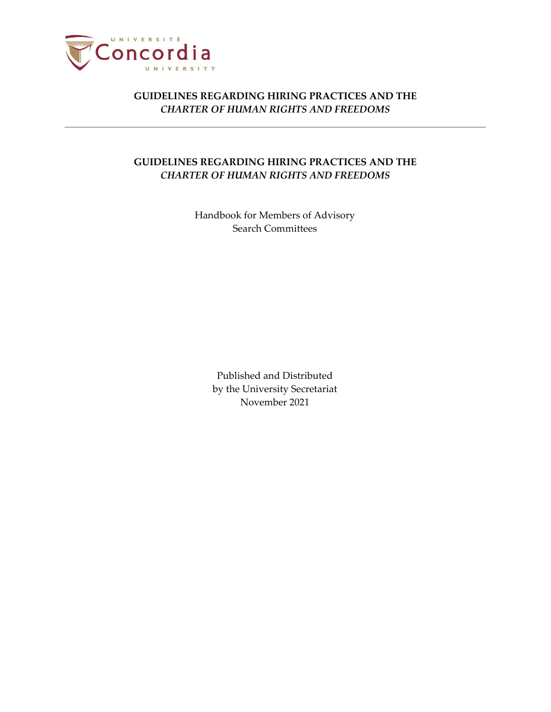

## **GUIDELINES REGARDING HIRING PRACTICES AND THE** *CHARTER OF HUMAN RIGHTS AND FREEDOMS*

Handbook for Members of Advisory Search Committees

> Published and Distributed by the University Secretariat November 2021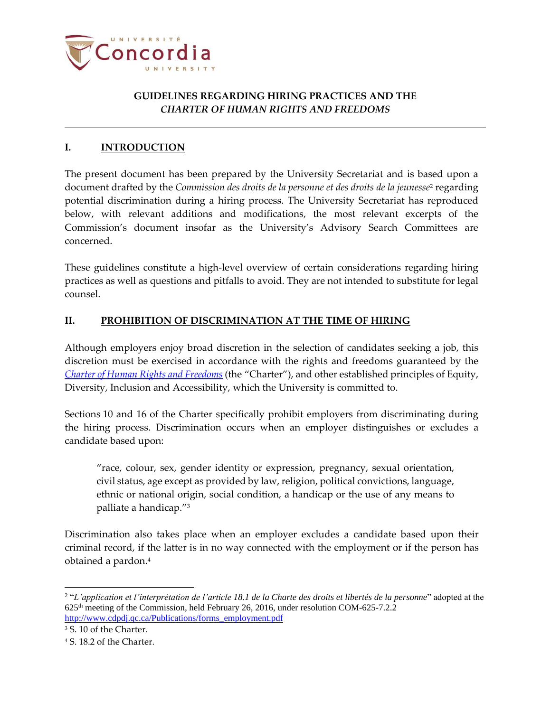

### **I. INTRODUCTION**

The present document has been prepared by the University Secretariat and is based upon a document drafted by the *Commission des droits de la personne et des droits de la jeunesse<sup>2</sup> regarding* potential discrimination during a hiring process. The University Secretariat has reproduced below, with relevant additions and modifications, the most relevant excerpts of the Commission's document insofar as the University's Advisory Search Committees are concerned.

These guidelines constitute a high-level overview of certain considerations regarding hiring practices as well as questions and pitfalls to avoid. They are not intended to substitute for legal counsel.

### **II. PROHIBITION OF DISCRIMINATION AT THE TIME OF HIRING**

Although employers enjoy broad discretion in the selection of candidates seeking a job, this discretion must be exercised in accordance with the rights and freedoms guaranteed by the *Charter of Human Rights and [Freedoms](http://legisquebec.gouv.qc.ca/en/showdoc/cs/C-12)* (the "Charter"), and other established principles of Equity, Diversity, Inclusion and Accessibility, which the University is committed to.

Sections 10 and 16 of the Charter specifically prohibit employers from discriminating during the hiring process. Discrimination occurs when an employer distinguishes or excludes a candidate based upon:

"race, colour, sex, gender identity or expression, pregnancy, sexual orientation, civil status, age except as provided by law, religion, political convictions, language, ethnic or national origin, social condition, a handicap or the use of any means to palliate a handicap."<sup>3</sup>

Discrimination also takes place when an employer excludes a candidate based upon their criminal record, if the latter is in no way connected with the employment or if the person has obtained a pardon.<sup>4</sup>

<sup>2</sup> "*L'application et l'interprétation de l'article 18.1 de la Charte des droits et libertés de la personne*" adopted at the 625th meeting of the Commission, held February 26, 2016, under resolution COM-625-7.2.2 [http://www.cdpdj.qc.ca/Publications/forms\\_employment.pdf](http://www.cdpdj.qc.ca/Publications/forms_employment.pdf)

<sup>3</sup> S. 10 of the Charter.

<sup>4</sup> S. 18.2 of the Charter.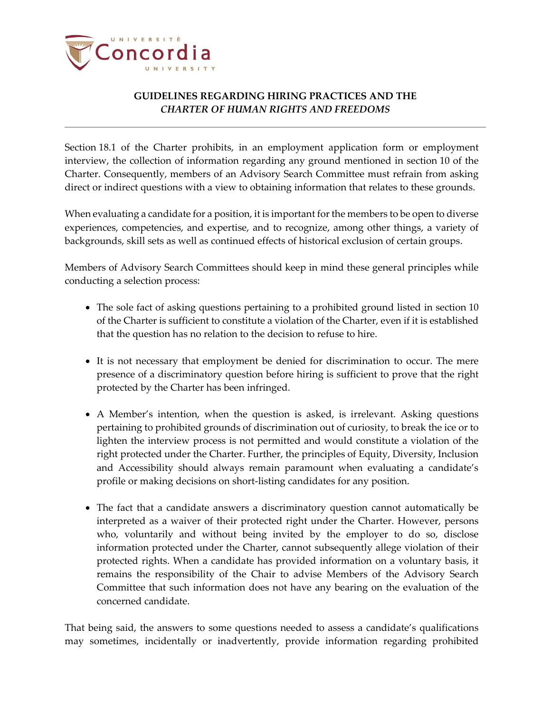

Section 18.1 of the Charter prohibits, in an employment application form or employment interview, the collection of information regarding any ground mentioned in section 10 of the Charter. Consequently, members of an Advisory Search Committee must refrain from asking direct or indirect questions with a view to obtaining information that relates to these grounds.

When evaluating a candidate for a position, it is important for the members to be open to diverse experiences, competencies, and expertise, and to recognize, among other things, a variety of backgrounds, skill sets as well as continued effects of historical exclusion of certain groups.

Members of Advisory Search Committees should keep in mind these general principles while conducting a selection process:

- The sole fact of asking questions pertaining to a prohibited ground listed in section 10 of the Charter is sufficient to constitute a violation of the Charter, even if it is established that the question has no relation to the decision to refuse to hire.
- It is not necessary that employment be denied for discrimination to occur. The mere presence of a discriminatory question before hiring is sufficient to prove that the right protected by the Charter has been infringed.
- A Member's intention, when the question is asked, is irrelevant. Asking questions pertaining to prohibited grounds of discrimination out of curiosity, to break the ice or to lighten the interview process is not permitted and would constitute a violation of the right protected under the Charter. Further, the principles of Equity, Diversity, Inclusion and Accessibility should always remain paramount when evaluating a candidate's profile or making decisions on short-listing candidates for any position.
- The fact that a candidate answers a discriminatory question cannot automatically be interpreted as a waiver of their protected right under the Charter. However, persons who, voluntarily and without being invited by the employer to do so, disclose information protected under the Charter, cannot subsequently allege violation of their protected rights. When a candidate has provided information on a voluntary basis, it remains the responsibility of the Chair to advise Members of the Advisory Search Committee that such information does not have any bearing on the evaluation of the concerned candidate.

That being said, the answers to some questions needed to assess a candidate's qualifications may sometimes, incidentally or inadvertently, provide information regarding prohibited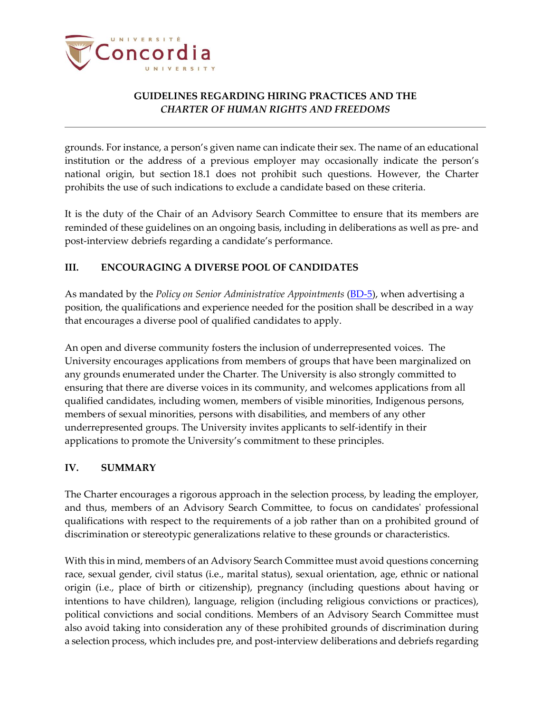

grounds. For instance, a person's given name can indicate their sex. The name of an educational institution or the address of a previous employer may occasionally indicate the person's national origin, but section 18.1 does not prohibit such questions. However, the Charter prohibits the use of such indications to exclude a candidate based on these criteria.

It is the duty of the Chair of an Advisory Search Committee to ensure that its members are reminded of these guidelines on an ongoing basis, including in deliberations as well as pre- and post-interview debriefs regarding a candidate's performance.

# **III. ENCOURAGING A DIVERSE POOL OF CANDIDATES**

As mandated by the *Policy on Senior Administrative Appointments* [\(BD-5\)](http://www.concordia.ca/content/dam/common/docs/policies/official-policies/BD-5.pdf), when advertising a position, the qualifications and experience needed for the position shall be described in a way that encourages a diverse pool of qualified candidates to apply.

An open and diverse community fosters the inclusion of underrepresented voices. The University encourages applications from members of groups that have been marginalized on any grounds enumerated under the Charter*.* The University is also strongly committed to ensuring that there are diverse voices in its community, and welcomes applications from all qualified candidates, including women, members of visible minorities, Indigenous persons, members of sexual minorities, persons with disabilities, and members of any other underrepresented groups. The University invites applicants to self-identify in their applications to promote the University's commitment to these principles.

### **IV. SUMMARY**

The Charter encourages a rigorous approach in the selection process, by leading the employer, and thus, members of an Advisory Search Committee, to focus on candidates' professional qualifications with respect to the requirements of a job rather than on a prohibited ground of discrimination or stereotypic generalizations relative to these grounds or characteristics.

With this in mind, members of an Advisory Search Committee must avoid questions concerning race, sexual gender, civil status (i.e., marital status), sexual orientation, age, ethnic or national origin (i.e., place of birth or citizenship), pregnancy (including questions about having or intentions to have children), language, religion (including religious convictions or practices), political convictions and social conditions. Members of an Advisory Search Committee must also avoid taking into consideration any of these prohibited grounds of discrimination during a selection process, which includes pre, and post-interview deliberations and debriefs regarding